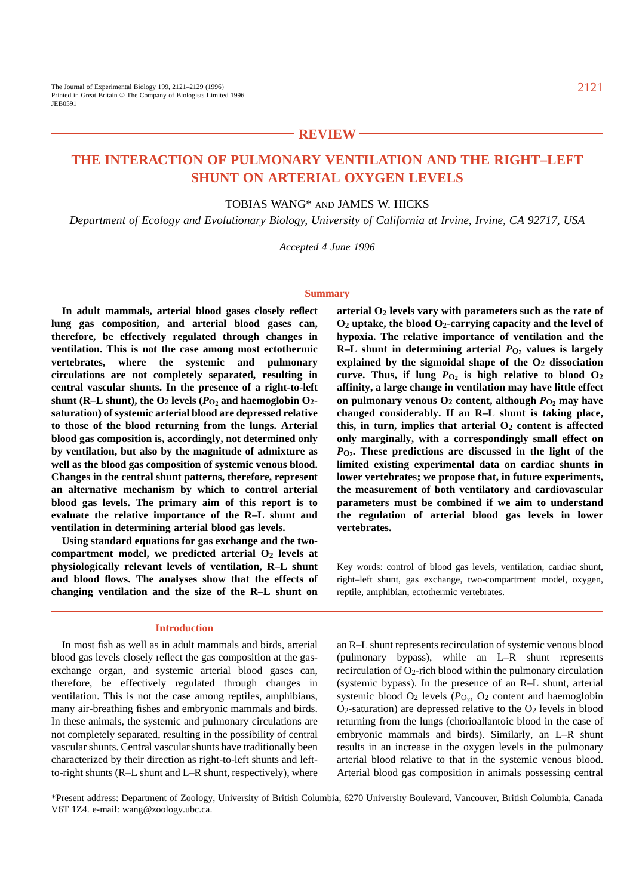# **REVIEW**

# **THE INTERACTION OF PULMONARY VENTILATION AND THE RIGHT–LEFT SHUNT ON ARTERIAL OXYGEN LEVELS**

# TOBIAS WANG\* AND JAMES W. HICKS

*Department of Ecology and Evolutionary Biology, University of California at Irvine, Irvine, CA 92717, USA*

*Accepted 4 June 1996*

#### **Summary**

**In adult mammals, arterial blood gases closely reflect lung gas composition, and arterial blood gases can, therefore, be effectively regulated through changes in ventilation. This is not the case among most ectothermic vertebrates, where the systemic and pulmonary circulations are not completely separated, resulting in central vascular shunts. In the presence of a right-to-left** shunt (R–L shunt), the  $O_2$  levels ( $P_{O_2}$  and haemoglobin  $O_2$ **saturation) of systemic arterial blood are depressed relative to those of the blood returning from the lungs. Arterial blood gas composition is, accordingly, not determined only by ventilation, but also by the magnitude of admixture as well as the blood gas composition of systemic venous blood. Changes in the central shunt patterns, therefore, represent an alternative mechanism by which to control arterial blood gas levels. The primary aim of this report is to evaluate the relative importance of the R–L shunt and ventilation in determining arterial blood gas levels.**

**Using standard equations for gas exchange and the twocompartment model, we predicted arterial O2 levels at physiologically relevant levels of ventilation, R–L shunt and blood flows. The analyses show that the effects of changing ventilation and the size of the R–L shunt on**

# **arterial O2 levels vary with parameters such as the rate of O2 uptake, the blood O2-carrying capacity and the level of hypoxia. The relative importance of ventilation and the R–L** shunt in determining arterial  $P_{\text{O}_2}$  values is largely **explained by the sigmoidal shape of the O2 dissociation** curve. Thus, if lung  $P_{O_2}$  is high relative to blood  $O_2$ **affinity, a large change in ventilation may have little effect on pulmonary venous O2 content, although** *P***O2 may have changed considerably. If an R–L shunt is taking place,** this, in turn, implies that arterial  $O_2$  content is affected **only marginally, with a correspondingly small effect on** *P***O2. These predictions are discussed in the light of the limited existing experimental data on cardiac shunts in lower vertebrates; we propose that, in future experiments, the measurement of both ventilatory and cardiovascular parameters must be combined if we aim to understand the regulation of arterial blood gas levels in lower vertebrates.**

Key words: control of blood gas levels, ventilation, cardiac shunt, right–left shunt, gas exchange, two-compartment model, oxygen, reptile, amphibian, ectothermic vertebrates.

#### **Introduction**

In most fish as well as in adult mammals and birds, arterial blood gas levels closely reflect the gas composition at the gasexchange organ, and systemic arterial blood gases can, therefore, be effectively regulated through changes in ventilation. This is not the case among reptiles, amphibians, many air-breathing fishes and embryonic mammals and birds. In these animals, the systemic and pulmonary circulations are not completely separated, resulting in the possibility of central vascular shunts. Central vascular shunts have traditionally been characterized by their direction as right-to-left shunts and leftto-right shunts (R–L shunt and L–R shunt, respectively), where

an R–L shunt represents recirculation of systemic venous blood (pulmonary bypass), while an L–R shunt represents recirculation of  $O_2$ -rich blood within the pulmonary circulation (systemic bypass). In the presence of an R–L shunt, arterial systemic blood  $O_2$  levels ( $P<sub>O2</sub>$ ,  $O<sub>2</sub>$  content and haemoglobin  $O<sub>2</sub>$ -saturation) are depressed relative to the  $O<sub>2</sub>$  levels in blood returning from the lungs (chorioallantoic blood in the case of embryonic mammals and birds). Similarly, an L–R shunt results in an increase in the oxygen levels in the pulmonary arterial blood relative to that in the systemic venous blood. Arterial blood gas composition in animals possessing central

\*Present address: Department of Zoology, University of British Columbia, 6270 University Boulevard, Vancouver, British Columbia, Canada V6T 1Z4. e-mail: wang@zoology.ubc.ca.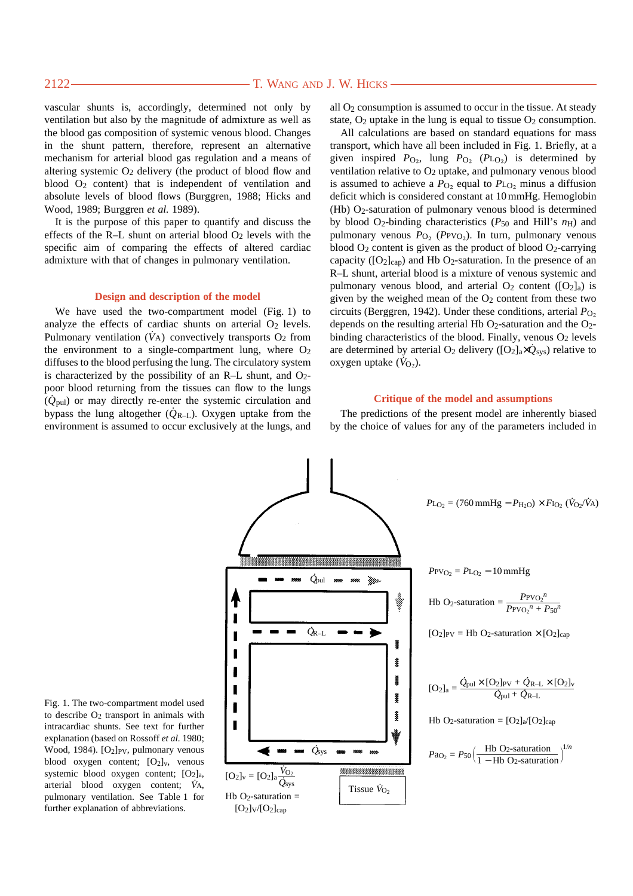vascular shunts is, accordingly, determined not only by ventilation but also by the magnitude of admixture as well as the blood gas composition of systemic venous blood. Changes in the shunt pattern, therefore, represent an alternative mechanism for arterial blood gas regulation and a means of altering systemic O<sub>2</sub> delivery (the product of blood flow and blood  $O_2$  content) that is independent of ventilation and absolute levels of blood flows (Burggren, 1988; Hicks and Wood, 1989; Burggren *et al.* 1989).

It is the purpose of this paper to quantify and discuss the effects of the R–L shunt on arterial blood  $O_2$  levels with the specific aim of comparing the effects of altered cardiac admixture with that of changes in pulmonary ventilation.

#### **Design and description of the model**

We have used the two-compartment model (Fig. 1) to analyze the effects of cardiac shunts on arterial  $O<sub>2</sub>$  levels. Pulmonary ventilation  $(V_A)$  convectively transports  $O_2$  from the environment to a single-compartment lung, where  $O<sub>2</sub>$ diffuses to the blood perfusing the lung. The circulatory system is characterized by the possibility of an R–L shunt, and  $O<sub>2</sub>$ poor blood returning from the tissues can flow to the lungs (*Q˙* pul) or may directly re-enter the systemic circulation and bypass the lung altogether  $(\dot{Q}_{R-L})$ . Oxygen uptake from the environment is assumed to occur exclusively at the lungs, and all  $O<sub>2</sub>$  consumption is assumed to occur in the tissue. At steady state,  $O_2$  uptake in the lung is equal to tissue  $O_2$  consumption.

All calculations are based on standard equations for mass transport, which have all been included in Fig. 1. Briefly, at a given inspired  $P_{\text{O}_2}$ , lung  $P_{\text{O}_2}$  ( $P_{\text{LO}_2}$ ) is determined by ventilation relative to O<sub>2</sub> uptake, and pulmonary venous blood is assumed to achieve a  $P_{\text{O}_2}$  equal to  $P_{\text{LO}_2}$  minus a diffusion deficit which is considered constant at 10 mmHg. Hemoglobin (Hb) O2-saturation of pulmonary venous blood is determined by blood O2-binding characteristics (*P*50 and Hill's *n*H) and pulmonary venous  $P_{\text{O}_2}$  ( $P_{\text{PVO}_2}$ ). In turn, pulmonary venous blood  $O_2$  content is given as the product of blood  $O_2$ -carrying capacity ( $[O_2]_{cap}$ ) and Hb O<sub>2</sub>-saturation. In the presence of an R–L shunt, arterial blood is a mixture of venous systemic and pulmonary venous blood, and arterial  $O_2$  content ( $[O_2]_a$ ) is given by the weighed mean of the  $O<sub>2</sub>$  content from these two circuits (Berggren, 1942). Under these conditions, arterial *P*<sub>O</sub><sub>2</sub> depends on the resulting arterial Hb  $O<sub>2</sub>$ -saturation and the  $O<sub>2</sub>$ binding characteristics of the blood. Finally, venous  $O<sub>2</sub>$  levels are determined by arterial  $O_2$  delivery ( $[O_2]_a \times Q_{sys}$ ) relative to oxygen uptake  $(\dot{V}_{O_2})$ .

#### **Critique of the model and assumptions**

The predictions of the present model are inherently biased by the choice of values for any of the parameters included in

 $P_{\text{L}_{\text{O}_2}} = (760 \text{ mmHg} - P_{\text{H}_2\text{O}}) \times F_{\text{I}_{\text{O}_2}}(\dot{V}_{\text{O}_2}/\dot{V}_{\text{A}})$  $PPVO<sub>2</sub> = PLO<sub>2</sub> - 10 mmHg$ *Q* . pul 266 Hb O<sub>2</sub>-saturation =  $\frac{P_{\text{PVO}_2}n}{P_{\text{PPCA}} \cdot n}$  $P{\rm PVO_2}^n + P{50}^n$ *Q* . R–L  $[O_2]_{PV}$  = Hb O<sub>2</sub>-saturation  $\times$   $[O_2]_{cap}$ ğ ĝ  $[O_2]_a = \frac{\dot{Q}_{\text{pul}} \times [O_2]_{\text{PV}} + \dot{Q}_{\text{R-L}} \times [O_2]_{\text{V}}}{\dot{Q}_{\text{R-L}}}$ Ĭ  $Q_{\text{pul}} + Q_{\text{R--L}}$ Į ſ ŝ Hb O<sub>2</sub>-saturation =  $[O_2]_a/[O_2]_{cap}$ Г  $\dot{Q}_{\rm sys}$  $Pa_{\text{O}_2} = P_{50} \left( \frac{\text{Hb O}_2\text{-saturation}}{1-\text{Hb O}_2\text{-saturatic}} \right)$  $\left(\frac{\text{Hb O}_2\text{-saturation}}{1-\text{Hb O}_2\text{-saturation}}\right)^{1/n}$ 1 − Hb O2-saturation  $[O_2]_v = [O_2]_a \frac{\dot{V}_{O_2}}{\dot{Q}_{sys}}$ Tissue  $\dot{V}_{\Omega}$ Hb  $O_2$ -saturation =  $[O_2]_V/[O_2]_{cap}$ 

Fig. 1. The two-compartment model used to describe O2 transport in animals with intracardiac shunts. See text for further explanation (based on Rossoff *et al.* 1980; Wood, 1984). [O<sub>2</sub>]<sub>PV</sub>, pulmonary venous blood oxygen content;  $[O_2]_v$ , venous systemic blood oxygen content;  $[O_2]_a$ , arterial blood oxygen content; *V˙*A, pulmonary ventilation. See Table 1 for further explanation of abbreviations.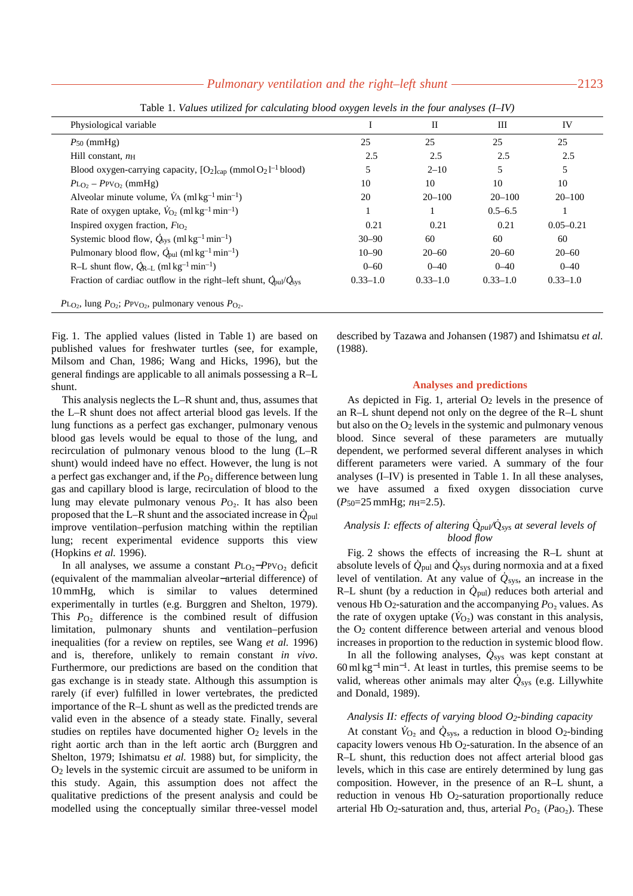## *Pulmonary ventilation and the right–left shunt* ———————————————2123

| Physiological variable                                                                           |              | П            | Ш            | IV            |
|--------------------------------------------------------------------------------------------------|--------------|--------------|--------------|---------------|
| $P_{50}$ (mmHg)                                                                                  | 25           | 25           | 25           | 25            |
| Hill constant, $n_{\rm H}$                                                                       | 2.5          | 2.5          | 2.5          | 2.5           |
| Blood oxygen-carrying capacity, $[O_2]_{cap}$ (mmol $O_2$ 1 <sup>-1</sup> blood)                 |              | $2 - 10$     | 5            | 5             |
| $P_{LO_2} - P_{\text{PV}_O}$ (mmHg)                                                              | 10           | 10           | 10           | 10            |
| Alveolar minute volume, $\dot{V}$ A (ml kg <sup>-1</sup> min <sup>-1</sup> )                     | 20           | $20 - 100$   | $20 - 100$   | $20 - 100$    |
| Rate of oxygen uptake, $V_{\text{O}_2}$ (ml kg <sup>-1</sup> min <sup>-1</sup> )                 |              |              | $0.5 - 6.5$  |               |
| Inspired oxygen fraction, $F_{IQ2}$                                                              | 0.21         | 0.21         | 0.21         | $0.05 - 0.21$ |
| Systemic blood flow, $\dot{Q}_{sys}$ (ml kg <sup>-1</sup> min <sup>-1</sup> )                    | $30 - 90$    | 60           | 60           | 60            |
| Pulmonary blood flow, $\dot{Q}_{\text{pul}}$ (ml kg <sup>-1</sup> min <sup>-1</sup> )            | $10 - 90$    | $20 - 60$    | $20 - 60$    | $20 - 60$     |
| R-L shunt flow, $\dot{Q}_{R-L}$ (ml kg <sup>-1</sup> min <sup>-1</sup> )                         | $0 - 60$     | $0 - 40$     | $0 - 40$     | $0 - 40$      |
| Fraction of cardiac outflow in the right-left shunt, $\dot{Q}_{\text{pul}}/\dot{Q}_{\text{sys}}$ | $0.33 - 1.0$ | $0.33 - 1.0$ | $0.33 - 1.0$ | $0.33 - 1.0$  |

Table 1. *Values utilized for calculating blood oxygen levels in the four analyses (I–IV)*

Fig. 1. The applied values (listed in Table 1) are based on published values for freshwater turtles (see, for example, Milsom and Chan, 1986; Wang and Hicks, 1996), but the general findings are applicable to all animals possessing a R–L shunt.

This analysis neglects the L–R shunt and, thus, assumes that the L–R shunt does not affect arterial blood gas levels. If the lung functions as a perfect gas exchanger, pulmonary venous blood gas levels would be equal to those of the lung, and recirculation of pulmonary venous blood to the lung (L–R shunt) would indeed have no effect. However, the lung is not a perfect gas exchanger and, if the  $P_{\text{O}_2}$  difference between lung gas and capillary blood is large, recirculation of blood to the lung may elevate pulmonary venous *P*<sub>O2</sub>. It has also been proposed that the L–R shunt and the associated increase in  $\dot{Q}_{\text{pul}}$ improve ventilation–perfusion matching within the reptilian lung; recent experimental evidence supports this view (Hopkins *et al.* 1996).

In all analyses, we assume a constant  $P_{L_0}P_{PV_0}$  deficit (equivalent of the mammalian alveolar−arterial difference) of 10 mmHg, which is similar to values determined experimentally in turtles (e.g. Burggren and Shelton, 1979). This  $P_{\text{O}_2}$  difference is the combined result of diffusion limitation, pulmonary shunts and ventilation–perfusion inequalities (for a review on reptiles, see Wang *et al.* 1996) and is, therefore, unlikely to remain constant *in vivo*. Furthermore, our predictions are based on the condition that gas exchange is in steady state. Although this assumption is rarely (if ever) fulfilled in lower vertebrates, the predicted importance of the R–L shunt as well as the predicted trends are valid even in the absence of a steady state. Finally, several studies on reptiles have documented higher  $O<sub>2</sub>$  levels in the right aortic arch than in the left aortic arch (Burggren and Shelton, 1979; Ishimatsu *et al.* 1988) but, for simplicity, the O2 levels in the systemic circuit are assumed to be uniform in this study. Again, this assumption does not affect the qualitative predictions of the present analysis and could be modelled using the conceptually similar three-vessel model

described by Tazawa and Johansen (1987) and Ishimatsu *et al.* (1988).

#### **Analyses and predictions**

As depicted in Fig. 1, arterial  $O<sub>2</sub>$  levels in the presence of an R–L shunt depend not only on the degree of the R–L shunt but also on the O2 levels in the systemic and pulmonary venous blood. Since several of these parameters are mutually dependent, we performed several different analyses in which different parameters were varied. A summary of the four analyses (I–IV) is presented in Table 1. In all these analyses, we have assumed a fixed oxygen dissociation curve (*P*50=25 mmHg; *n*H=2.5).

# *Analysis I: effects of altering* Q*˙ pul/*Q*˙ sys at several levels of blood flow*

Fig. 2 shows the effects of increasing the R–L shunt at absolute levels of  $\dot{Q}_{\text{pul}}$  and  $\dot{Q}_{\text{sys}}$  during normoxia and at a fixed level of ventilation. At any value of  $\dot{Q}_{sys}$ , an increase in the R–L shunt (by a reduction in  $\dot{Q}_{\text{pul}}$ ) reduces both arterial and venous Hb O<sub>2</sub>-saturation and the accompanying  $P_{\text{O}_2}$  values. As the rate of oxygen uptake  $(\dot{V}_{O_2})$  was constant in this analysis, the  $O<sub>2</sub>$  content difference between arterial and venous blood increases in proportion to the reduction in systemic blood flow.

In all the following analyses,  $\dot{Q}_{sys}$  was kept constant at  $60$  ml kg<sup>-1</sup> min<sup>-1</sup>. At least in turtles, this premise seems to be valid, whereas other animals may alter  $\dot{Q}_{sys}$  (e.g. Lillywhite and Donald, 1989).

## *Analysis II: effects of varying blood O2-binding capacity*

At constant  $\dot{V}_{O_2}$  and  $\dot{Q}_{sys}$ , a reduction in blood O<sub>2</sub>-binding capacity lowers venous Hb  $O<sub>2</sub>$ -saturation. In the absence of an R–L shunt, this reduction does not affect arterial blood gas levels, which in this case are entirely determined by lung gas composition. However, in the presence of an R–L shunt, a reduction in venous Hb O<sub>2</sub>-saturation proportionally reduce arterial Hb O<sub>2</sub>-saturation and, thus, arterial  $P_{\text{O}_2}$  ( $P_{\text{O}_2}$ ). These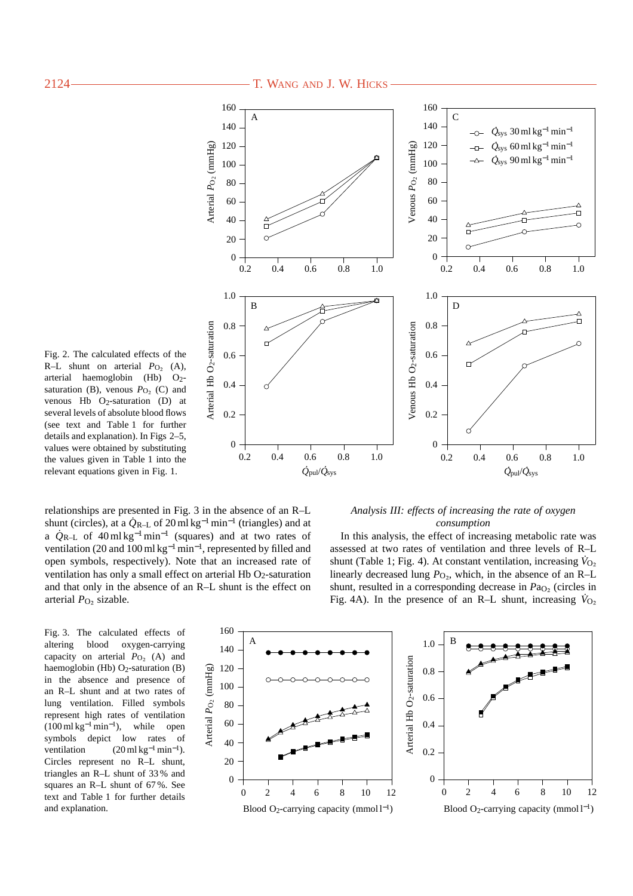

Fig. 2. The calculated effects of the R–L shunt on arterial  $P_{\text{O}_2}$  (A), arterial haemoglobin (Hb) O2 saturation (B), venous  $P_{\text{O}_2}$  (C) and venous Hb  $O<sub>2</sub>$ -saturation (D) at several levels of absolute blood flows (see text and Table 1 for further details and explanation). In Figs 2–5, values were obtained by substituting the values given in Table 1 into the relevant equations given in Fig. 1.

relationships are presented in Fig. 3 in the absence of an R–L shunt (circles), at a  $\dot{Q}_{R-L}$  of 20 ml kg<sup>-1</sup> min<sup>-1</sup> (triangles) and at a *Q˙* R–L of 40 ml kg<sup>−</sup>1min−<sup>1</sup> (squares) and at two rates of ventilation (20 and 100 ml kg<sup>-1</sup> min<sup>-1</sup>, represented by filled and open symbols, respectively). Note that an increased rate of ventilation has only a small effect on arterial Hb O2-saturation and that only in the absence of an R–L shunt is the effect on arterial *P*<sub>O</sub><sub>2</sub> sizable.

## *Analysis III: effects of increasing the rate of oxygen consumption*

In this analysis, the effect of increasing metabolic rate was assessed at two rates of ventilation and three levels of R–L shunt (Table 1; Fig. 4). At constant ventilation, increasing  $\dot{V}_{\text{O}_2}$ linearly decreased lung  $P_{\text{O}_2}$ , which, in the absence of an R–L shunt, resulted in a corresponding decrease in *Pa*<sub>O2</sub> (circles in Fig. 4A). In the presence of an R–L shunt, increasing  $\dot{V}_{\text{O}_2}$ 

Fig. 3. The calculated effects of altering blood oxygen-carrying capacity on arterial  $P_{\text{O}_2}$  (A) and haemoglobin (Hb)  $O<sub>2</sub>$ -saturation (B) in the absence and presence of an R–L shunt and at two rates of lung ventilation. Filled symbols represent high rates of ventilation  $(100 \text{ ml kg}^{-1} \text{min}^{-1})$ , while open symbols depict low rates of ventilation  $(20 \text{ ml kg}^{-1} \text{min}^{-1}).$ Circles represent no R–L shunt, triangles an R–L shunt of 33 % and squares an R–L shunt of 67 %. See text and Table 1 for further details and explanation.

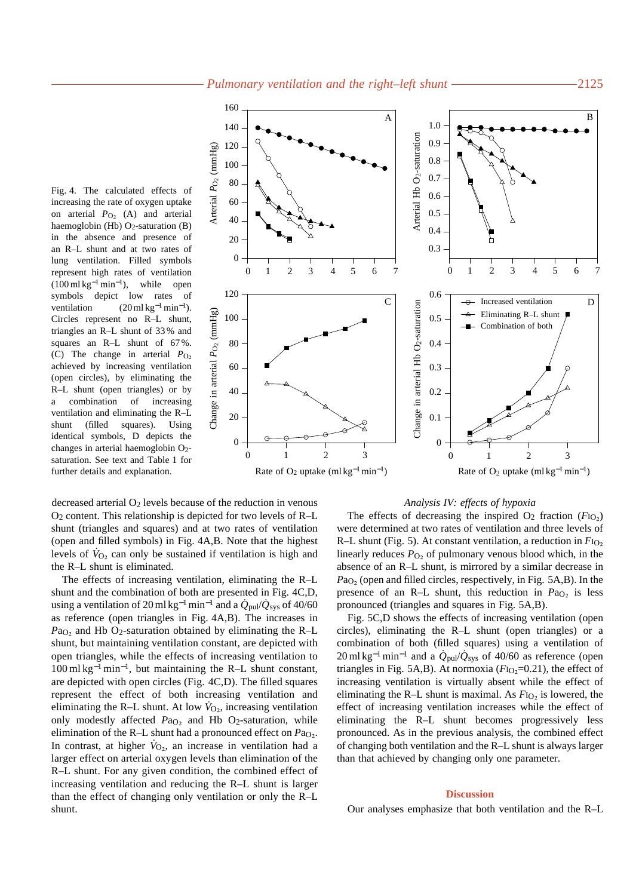Fig. 4. The calculated effects of increasing the rate of oxygen uptake on arterial  $P_{\text{O}_2}$  (A) and arterial haemoglobin (Hb) O<sub>2</sub>-saturation (B) in the absence and presence of an R–L shunt and at two rates of lung ventilation. Filled symbols represent high rates of ventilation  $(100 \text{ ml kg}^{-1} \text{min}^{-1})$ , while open symbols depict low rates of ventilation  $(20 \text{ ml kg}^{-1} \text{ min}^{-1}).$ Circles represent no R–L shunt, triangles an R–L shunt of 33 % and squares an R–L shunt of 67 %. (C) The change in arterial *P*O∑ achieved by increasing ventilation (open circles), by eliminating the R–L shunt (open triangles) or by a combination of increasing ventilation and eliminating the R–L shunt (filled squares). Using identical symbols, D depicts the changes in arterial haemoglobin  $O_2$ saturation. See text and Table 1 for further details and explanation.



decreased arterial  $O_2$  levels because of the reduction in venous O2 content. This relationship is depicted for two levels of R–L shunt (triangles and squares) and at two rates of ventilation (open and filled symbols) in Fig. 4A,B. Note that the highest levels of  $\dot{V}_{O_2}$  can only be sustained if ventilation is high and the R–L shunt is eliminated.

The effects of increasing ventilation, eliminating the R–L shunt and the combination of both are presented in Fig. 4C,D, using a ventilation of 20 ml kg<sup>-1</sup> min<sup>-1</sup> and a  $\dot{Q}_{\text{pul}}/\dot{Q}_{\text{sys}}$  of 40/60 as reference (open triangles in Fig. 4A,B). The increases in  $Pa<sub>O<sub>2</sub></sub>$  and Hb O<sub>2</sub>-saturation obtained by eliminating the R–L shunt, but maintaining ventilation constant, are depicted with open triangles, while the effects of increasing ventilation to 100 ml kg−<sup>1</sup> min<sup>−</sup>1, but maintaining the R–L shunt constant, are depicted with open circles (Fig. 4C,D). The filled squares represent the effect of both increasing ventilation and eliminating the R–L shunt. At low  $\dot{V}_{\text{O}_2}$ , increasing ventilation only modestly affected *P*a<sub>O2</sub> and Hb O<sub>2</sub>-saturation, while elimination of the R–L shunt had a pronounced effect on *P*a<sub>O</sub>. In contrast, at higher  $\dot{V}_{O<sub>2</sub>}$ , an increase in ventilation had a larger effect on arterial oxygen levels than elimination of the R–L shunt. For any given condition, the combined effect of increasing ventilation and reducing the R–L shunt is larger than the effect of changing only ventilation or only the R–L shunt.

#### *Analysis IV: effects of hypoxia*

The effects of decreasing the inspired  $O_2$  fraction ( $F_{1O_2}$ ) were determined at two rates of ventilation and three levels of R–L shunt (Fig. 5). At constant ventilation, a reduction in *F*I<sub>O2</sub> linearly reduces  $P_{\text{O}_2}$  of pulmonary venous blood which, in the absence of an R–L shunt, is mirrored by a similar decrease in *Pa*<sub>O</sub><sub>2</sub> (open and filled circles, respectively, in Fig. 5A,B). In the presence of an R–L shunt, this reduction in *Pa*<sub>O</sub><sub>2</sub> is less pronounced (triangles and squares in Fig. 5A,B).

Fig. 5C,D shows the effects of increasing ventilation (open circles), eliminating the R–L shunt (open triangles) or a combination of both (filled squares) using a ventilation of  $20 \text{ ml kg}^{-1} \text{ min}^{-1}$  and a  $\dot{Q}_{\text{pul}}/\dot{Q}_{\text{sys}}$  of 40/60 as reference (open triangles in Fig. 5A,B). At normoxia  $(F<sub>10</sub> = 0.21)$ , the effect of increasing ventilation is virtually absent while the effect of eliminating the R–L shunt is maximal. As  $F_{1O<sub>2</sub>}$  is lowered, the effect of increasing ventilation increases while the effect of eliminating the R–L shunt becomes progressively less pronounced. As in the previous analysis, the combined effect of changing both ventilation and the R–L shunt is always larger than that achieved by changing only one parameter.

## **Discussion**

Our analyses emphasize that both ventilation and the R–L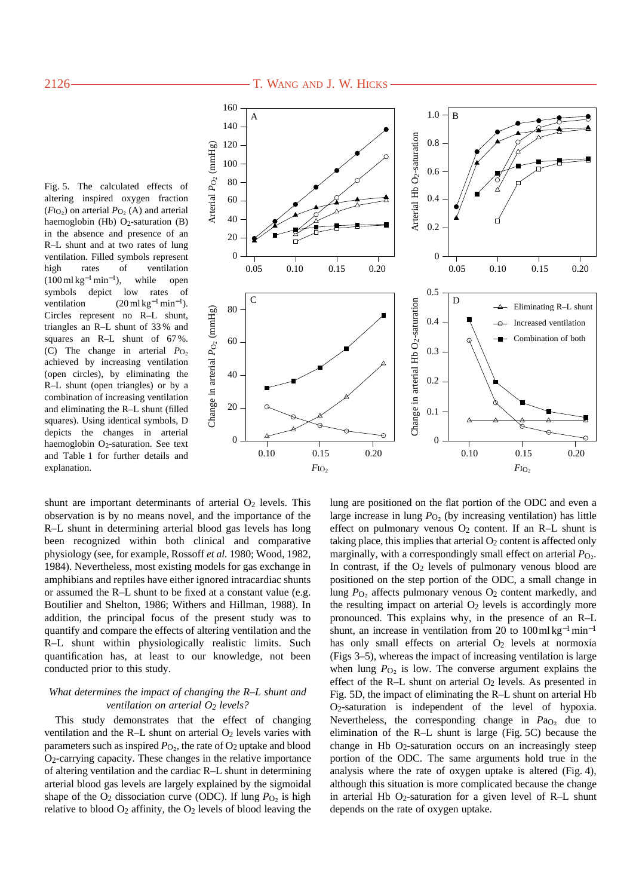# 2126 T. WANG AND J. W. HICKS

Fig. 5. The calculated effects of altering inspired oxygen fraction  $(F_{IO_2})$  on arterial  $P_{O_2}$  (A) and arterial haemoglobin (Hb) O<sub>2</sub>-saturation (B) in the absence and presence of an R–L shunt and at two rates of lung ventilation. Filled symbols represent high rates of ventilation  $(100 \text{ ml kg}^{-1} \text{min}^{-1})$ , while open symbols depict low rates of ventilation  $(20 \text{ ml kg}^{-1} \text{min}^{-1}).$ Circles represent no R–L shunt, triangles an R–L shunt of 33 % and squares an R–L shunt of 67%. (C) The change in arterial *P*O∑ achieved by increasing ventilation (open circles), by eliminating the R–L shunt (open triangles) or by a combination of increasing ventilation and eliminating the R–L shunt (filled squares). Using identical symbols, D depicts the changes in arterial haemoglobin  $O<sub>2</sub>$ -saturation. See text and Table 1 for further details and explanation.



shunt are important determinants of arterial  $O<sub>2</sub>$  levels. This observation is by no means novel, and the importance of the R–L shunt in determining arterial blood gas levels has long been recognized within both clinical and comparative physiology (see, for example, Rossoff *et al.* 1980; Wood, 1982, 1984). Nevertheless, most existing models for gas exchange in amphibians and reptiles have either ignored intracardiac shunts or assumed the R–L shunt to be fixed at a constant value (e.g. Boutilier and Shelton, 1986; Withers and Hillman, 1988). In addition, the principal focus of the present study was to quantify and compare the effects of altering ventilation and the R–L shunt within physiologically realistic limits. Such quantification has, at least to our knowledge, not been conducted prior to this study.

## *What determines the impact of changing the R–L shunt and ventilation on arterial O<sub>2</sub> levels?*

This study demonstrates that the effect of changing ventilation and the R–L shunt on arterial O<sub>2</sub> levels varies with parameters such as inspired  $P_{\text{O}_2}$ , the rate of  $\text{O}_2$  uptake and blood O2-carrying capacity. These changes in the relative importance of altering ventilation and the cardiac R–L shunt in determining arterial blood gas levels are largely explained by the sigmoidal shape of the O<sub>2</sub> dissociation curve (ODC). If lung  $P<sub>O<sub>2</sub></sub>$  is high relative to blood  $O_2$  affinity, the  $O_2$  levels of blood leaving the lung are positioned on the flat portion of the ODC and even a large increase in lung  $P<sub>O<sub>2</sub></sub>$  (by increasing ventilation) has little effect on pulmonary venous  $O_2$  content. If an R–L shunt is taking place, this implies that arterial  $O<sub>2</sub>$  content is affected only marginally, with a correspondingly small effect on arterial  $P_{\text{O}_2}$ . In contrast, if the  $O<sub>2</sub>$  levels of pulmonary venous blood are positioned on the step portion of the ODC, a small change in lung *P*O∑ affects pulmonary venous O2 content markedly, and the resulting impact on arterial  $O<sub>2</sub>$  levels is accordingly more pronounced. This explains why, in the presence of an R–L shunt, an increase in ventilation from 20 to  $100 \text{ ml kg}^{-1} \text{ min}^{-1}$ has only small effects on arterial O<sub>2</sub> levels at normoxia (Figs 3–5), whereas the impact of increasing ventilation is large when lung  $P_{\text{O}_2}$  is low. The converse argument explains the effect of the R–L shunt on arterial O<sub>2</sub> levels. As presented in Fig. 5D, the impact of eliminating the R–L shunt on arterial Hb O2-saturation is independent of the level of hypoxia. Nevertheless, the corresponding change in *P*a<sub>O</sub> due to elimination of the R–L shunt is large (Fig. 5C) because the change in Hb O2-saturation occurs on an increasingly steep portion of the ODC. The same arguments hold true in the analysis where the rate of oxygen uptake is altered (Fig. 4), although this situation is more complicated because the change in arterial Hb  $O<sub>2</sub>$ -saturation for a given level of R–L shunt depends on the rate of oxygen uptake.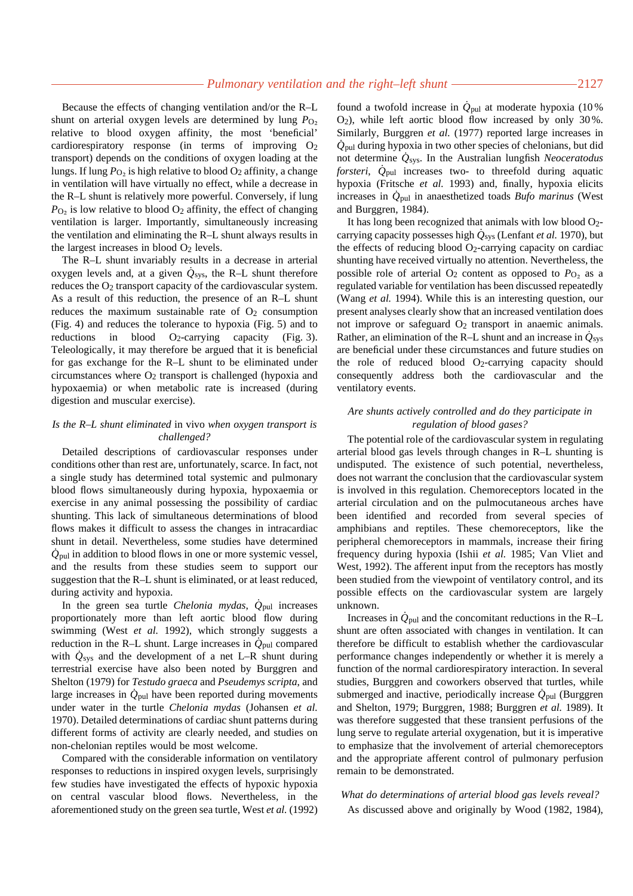Because the effects of changing ventilation and/or the R–L shunt on arterial oxygen levels are determined by lung  $P<sub>O<sub>2</sub></sub>$ relative to blood oxygen affinity, the most 'beneficial' cardiorespiratory response (in terms of improving  $O_2$ transport) depends on the conditions of oxygen loading at the lungs. If lung *P*<sub>O2</sub> is high relative to blood O<sub>2</sub> affinity, a change in ventilation will have virtually no effect, while a decrease in the R–L shunt is relatively more powerful. Conversely, if lung  $P_{\text{O}_2}$  is low relative to blood  $\text{O}_2$  affinity, the effect of changing ventilation is larger. Importantly, simultaneously increasing the ventilation and eliminating the R–L shunt always results in the largest increases in blood O2 levels.

The R–L shunt invariably results in a decrease in arterial oxygen levels and, at a given  $\dot{Q}_{sys}$ , the R–L shunt therefore reduces the O2 transport capacity of the cardiovascular system. As a result of this reduction, the presence of an R–L shunt reduces the maximum sustainable rate of  $O<sub>2</sub>$  consumption (Fig. 4) and reduces the tolerance to hypoxia (Fig. 5) and to reductions in blood  $O_2$ -carrying capacity (Fig. 3). Teleologically, it may therefore be argued that it is beneficial for gas exchange for the R–L shunt to be eliminated under circumstances where O2 transport is challenged (hypoxia and hypoxaemia) or when metabolic rate is increased (during digestion and muscular exercise).

# *Is the R–L shunt eliminated* in vivo *when oxygen transport is challenged?*

Detailed descriptions of cardiovascular responses under conditions other than rest are, unfortunately, scarce. In fact, not a single study has determined total systemic and pulmonary blood flows simultaneously during hypoxia, hypoxaemia or exercise in any animal possessing the possibility of cardiac shunting. This lack of simultaneous determinations of blood flows makes it difficult to assess the changes in intracardiac shunt in detail. Nevertheless, some studies have determined  $\dot{Q}_{\text{pul}}$  in addition to blood flows in one or more systemic vessel, and the results from these studies seem to support our suggestion that the R–L shunt is eliminated, or at least reduced, during activity and hypoxia.

In the green sea turtle *Chelonia mydas*,  $\dot{Q}_{\text{pul}}$  increases proportionately more than left aortic blood flow during swimming (West *et al.* 1992), which strongly suggests a reduction in the R–L shunt. Large increases in  $\dot{Q}_{\text{pul}}$  compared with  $\dot{Q}_{\text{sys}}$  and the development of a net L–R shunt during terrestrial exercise have also been noted by Burggren and Shelton (1979) for *Testudo graeca* and *Pseudemys scripta*, and large increases in  $\dot{Q}_{\text{pul}}$  have been reported during movements under water in the turtle *Chelonia mydas* (Johansen *et al.* 1970). Detailed determinations of cardiac shunt patterns during different forms of activity are clearly needed, and studies on non-chelonian reptiles would be most welcome.

Compared with the considerable information on ventilatory responses to reductions in inspired oxygen levels, surprisingly few studies have investigated the effects of hypoxic hypoxia on central vascular blood flows. Nevertheless, in the aforementioned study on the green sea turtle, West *et al.* (1992)

found a twofold increase in  $\dot{Q}_{\text{pul}}$  at moderate hypoxia (10%) O2), while left aortic blood flow increased by only 30 %. Similarly, Burggren *et al.* (1977) reported large increases in  $\dot{Q}_{\text{pul}}$  during hypoxia in two other species of chelonians, but did not determine *Q˙* sys. In the Australian lungfish *Neoceratodus forsteri*,  $\dot{Q}_{\text{pul}}$  increases two- to threefold during aquatic hypoxia (Fritsche *et al.* 1993) and, finally, hypoxia elicits increases in *Q˙* pul in anaesthetized toads *Bufo marinus* (West and Burggren, 1984).

It has long been recognized that animals with low blood O2 carrying capacity possesses high  $\dot{Q}_{sys}$  (Lenfant *et al.* 1970), but the effects of reducing blood  $O<sub>2</sub>$ -carrying capacity on cardiac shunting have received virtually no attention. Nevertheless, the possible role of arterial  $O_2$  content as opposed to  $P_{O_2}$  as a regulated variable for ventilation has been discussed repeatedly (Wang *et al.* 1994). While this is an interesting question, our present analyses clearly show that an increased ventilation does not improve or safeguard O<sub>2</sub> transport in anaemic animals. Rather, an elimination of the R–L shunt and an increase in  $\dot{Q}_{\rm sys}$ are beneficial under these circumstances and future studies on the role of reduced blood O2-carrying capacity should consequently address both the cardiovascular and the ventilatory events.

# *Are shunts actively controlled and do they participate in regulation of blood gases?*

The potential role of the cardiovascular system in regulating arterial blood gas levels through changes in R–L shunting is undisputed. The existence of such potential, nevertheless, does not warrant the conclusion that the cardiovascular system is involved in this regulation. Chemoreceptors located in the arterial circulation and on the pulmocutaneous arches have been identified and recorded from several species of amphibians and reptiles. These chemoreceptors, like the peripheral chemoreceptors in mammals, increase their firing frequency during hypoxia (Ishii *et al.* 1985; Van Vliet and West, 1992). The afferent input from the receptors has mostly been studied from the viewpoint of ventilatory control, and its possible effects on the cardiovascular system are largely unknown.

Increases in  $\dot{Q}_{\text{pul}}$  and the concomitant reductions in the R–L shunt are often associated with changes in ventilation. It can therefore be difficult to establish whether the cardiovascular performance changes independently or whether it is merely a function of the normal cardiorespiratory interaction. In several studies, Burggren and coworkers observed that turtles, while submerged and inactive, periodically increase  $\dot{Q}_{\text{pul}}$  (Burggren and Shelton, 1979; Burggren, 1988; Burggren *et al.* 1989). It was therefore suggested that these transient perfusions of the lung serve to regulate arterial oxygenation, but it is imperative to emphasize that the involvement of arterial chemoreceptors and the appropriate afferent control of pulmonary perfusion remain to be demonstrated.

### *What do determinations of arterial blood gas levels reveal?*

As discussed above and originally by Wood (1982, 1984),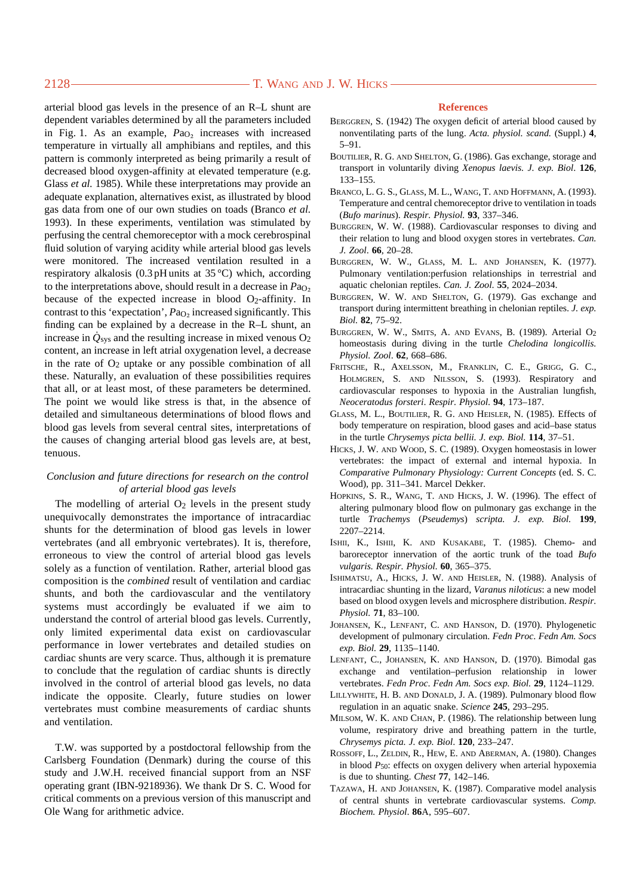arterial blood gas levels in the presence of an R–L shunt are dependent variables determined by all the parameters included in Fig. 1. As an example,  $Pa<sub>O<sub>2</sub></sub>$  increases with increased temperature in virtually all amphibians and reptiles, and this pattern is commonly interpreted as being primarily a result of decreased blood oxygen-affinity at elevated temperature (e.g. Glass *et al.* 1985). While these interpretations may provide an adequate explanation, alternatives exist, as illustrated by blood gas data from one of our own studies on toads (Branco *et al.* 1993). In these experiments, ventilation was stimulated by perfusing the central chemoreceptor with a mock cerebrospinal fluid solution of varying acidity while arterial blood gas levels were monitored. The increased ventilation resulted in a respiratory alkalosis (0.3 pH units at 35 °C) which, according to the interpretations above, should result in a decrease in *P*aO∑ because of the expected increase in blood O<sub>2</sub>-affinity. In contrast to this 'expectation', *Pa*<sub>O2</sub> increased significantly. This finding can be explained by a decrease in the R–L shunt, an increase in  $\dot{Q}_{sys}$  and the resulting increase in mixed venous  $O_2$ content, an increase in left atrial oxygenation level, a decrease in the rate of  $O_2$  uptake or any possible combination of all these. Naturally, an evaluation of these possibilities requires that all, or at least most, of these parameters be determined. The point we would like stress is that, in the absence of detailed and simultaneous determinations of blood flows and blood gas levels from several central sites, interpretations of the causes of changing arterial blood gas levels are, at best, tenuous.

# *Conclusion and future directions for research on the control of arterial blood gas levels*

The modelling of arterial  $O_2$  levels in the present study unequivocally demonstrates the importance of intracardiac shunts for the determination of blood gas levels in lower vertebrates (and all embryonic vertebrates). It is, therefore, erroneous to view the control of arterial blood gas levels solely as a function of ventilation. Rather, arterial blood gas composition is the *combined* result of ventilation and cardiac shunts, and both the cardiovascular and the ventilatory systems must accordingly be evaluated if we aim to understand the control of arterial blood gas levels. Currently, only limited experimental data exist on cardiovascular performance in lower vertebrates and detailed studies on cardiac shunts are very scarce. Thus, although it is premature to conclude that the regulation of cardiac shunts is directly involved in the control of arterial blood gas levels, no data indicate the opposite. Clearly, future studies on lower vertebrates must combine measurements of cardiac shunts and ventilation.

T.W. was supported by a postdoctoral fellowship from the Carlsberg Foundation (Denmark) during the course of this study and J.W.H. received financial support from an NSF operating grant (IBN-9218936). We thank Dr S. C. Wood for critical comments on a previous version of this manuscript and Ole Wang for arithmetic advice.

# **References**

- BERGGREN, S. (1942) The oxygen deficit of arterial blood caused by nonventilating parts of the lung. *Acta. physiol. scand.* (Suppl.) **4**, 5–91.
- BOUTILIER, R. G. AND SHELTON, G. (1986). Gas exchange, storage and transport in voluntarily diving *Xenopus laevis. J. exp. Biol*. **126**, 133–155.
- BRANCO, L. G. S., GLASS, M. L., WANG, T. AND HOFFMANN, A. (1993). Temperature and central chemoreceptor drive to ventilation in toads (*Bufo marinus*). *Respir. Physiol.* **93**, 337–346.
- BURGGREN, W. W. (1988). Cardiovascular responses to diving and their relation to lung and blood oxygen stores in vertebrates. *Can. J. Zool*. **66**, 20–28.
- BURGGREN, W. W., GLASS, M. L. AND JOHANSEN, K. (1977). Pulmonary ventilation:perfusion relationships in terrestrial and aquatic chelonian reptiles. *Can. J. Zool*. **55**, 2024–2034.
- BURGGREN, W. W. AND SHELTON, G. (1979). Gas exchange and transport during intermittent breathing in chelonian reptiles. *J. exp. Biol.* **82**, 75–92.
- BURGGREN, W. W., SMITS, A. AND EVANS, B. (1989). Arterial O2 homeostasis during diving in the turtle *Chelodina longicollis. Physiol. Zool*. **62**, 668–686.
- FRITSCHE, R., AXELSSON, M., FRANKLIN, C. E., GRIGG, G. C., HOLMGREN, S. AND NILSSON, S. (1993). Respiratory and cardiovascular responses to hypoxia in the Australian lungfish, *Neoceratodus forsteri*. *Respir. Physiol*. **94**, 173–187.
- GLASS, M. L., BOUTILIER, R. G. AND HEISLER, N. (1985). Effects of body temperature on respiration, blood gases and acid–base status in the turtle *Chrysemys picta bellii. J. exp. Biol*. **114**, 37–51.
- HICKS, J. W. AND WOOD, S. C. (1989). Oxygen homeostasis in lower vertebrates: the impact of external and internal hypoxia. In *Comparative Pulmonary Physiology: Current Concepts* (ed. S. C. Wood), pp. 311–341. Marcel Dekker.
- HOPKINS, S. R., WANG, T. AND HICKS, J. W. (1996). The effect of altering pulmonary blood flow on pulmonary gas exchange in the turtle *Trachemys* (*Pseudemys*) *scripta. J. exp. Biol.* **199**, 2207–2214.
- ISHII, K., ISHII, K. AND KUSAKABE, T. (1985). Chemo- and baroreceptor innervation of the aortic trunk of the toad *Bufo vulgaris. Respir. Physiol*. **60**, 365–375.
- ISHIMATSU, A., HICKS, J. W. AND HEISLER, N. (1988). Analysis of intracardiac shunting in the lizard, *Varanus niloticus*: a new model based on blood oxygen levels and microsphere distribution. *Respir. Physiol.* **71**, 83–100.
- JOHANSEN, K., LENFANT, C. AND HANSON, D. (1970). Phylogenetic development of pulmonary circulation. *Fedn Proc*. *Fedn Am. Socs exp. Biol.* **29**, 1135–1140.
- LENFANT, C., JOHANSEN, K. AND HANSON, D. (1970). Bimodal gas exchange and ventilation–perfusion relationship in lower vertebrates. *Fedn Proc*. *Fedn Am. Socs exp. Biol.* **29**, 1124–1129.
- LILLYWHITE, H. B. AND DONALD, J. A. (1989). Pulmonary blood flow regulation in an aquatic snake. *Science* **245**, 293–295.
- MILSOM, W. K. AND CHAN, P. (1986). The relationship between lung volume, respiratory drive and breathing pattern in the turtle, *Chrysemys picta. J. exp. Biol*. **120**, 233–247.
- ROSSOFF, L., ZELDIN, R., HEW, E. AND ABERMAN, A. (1980). Changes in blood *P*50: effects on oxygen delivery when arterial hypoxemia is due to shunting. *Chest* **77**, 142–146.
- TAZAWA, H. AND JOHANSEN, K. (1987). Comparative model analysis of central shunts in vertebrate cardiovascular systems. *Comp. Biochem. Physiol*. **86**A, 595–607.